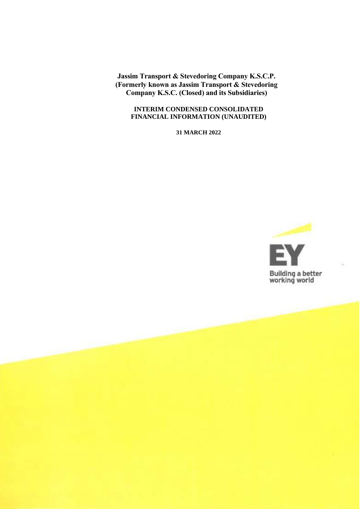**Jassim Transport & Stevedoring Company K.S.C.P. (Formerly known as Jassim Transport & Stevedoring Company K.S.C. (Closed) and its Subsidiaries)**

#### **INTERIM CONDENSED CONSOLIDATED FINANCIAL INFORMATION (UNAUDITED)**

**31 MARCH 2022**

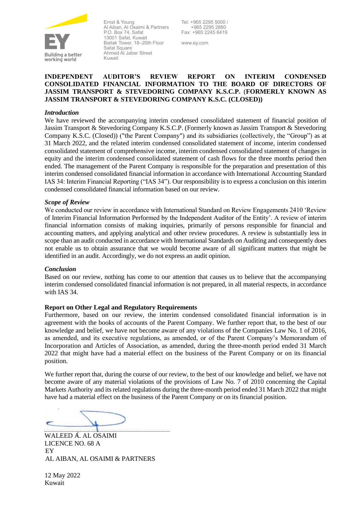

Ernst & Young Al Aiban, Al Osaimi & Partners P.O. Box 74, Safat 13001 Safat, Kuwait Baitak Tower, 18–20th Floor Safat Square Ahmed Al Jaber Street Kuwait

Tel: +965 2295 5000 / +965 2295 2880 Fax: +965 2245 6419

www.ey.com

#### **INDEPENDENT AUDITOR'S REVIEW REPORT ON INTERIM CONDENSED CONSOLIDATED FINANCIAL INFORMATION TO THE BOARD OF DIRECTORS OF JASSIM TRANSPORT & STEVEDORING COMPANY K.S.C.P.** (**FORMERLY KNOWN AS JASSIM TRANSPORT & STEVEDORING COMPANY K.S.C. (CLOSED))**

#### *Introduction*

We have reviewed the accompanying interim condensed consolidated statement of financial position of Jassim Transport & Stevedoring Company K.S.C.P. (Formerly known as Jassim Transport & Stevedoring Company K.S.C. (Closed)) ("the Parent Company") and its subsidiaries (collectively, the "Group") as at 31 March 2022, and the related interim condensed consolidated statement of income, interim condensed consolidated statement of comprehensive income, interim condensed consolidated statement of changes in equity and the interim condensed consolidated statement of cash flows for the three months period then ended. The management of the Parent Company is responsible for the preparation and presentation of this interim condensed consolidated financial information in accordance with International Accounting Standard IAS 34: Interim Financial Reporting ("IAS 34"). Our responsibility is to express a conclusion on this interim condensed consolidated financial information based on our review.

#### *Scope of Review*

We conducted our review in accordance with International Standard on Review Engagements 2410 'Review of Interim Financial Information Performed by the Independent Auditor of the Entity'. A review of interim financial information consists of making inquiries, primarily of persons responsible for financial and accounting matters, and applying analytical and other review procedures. A review is substantially less in scope than an audit conducted in accordance with International Standards on Auditing and consequently does not enable us to obtain assurance that we would become aware of all significant matters that might be identified in an audit. Accordingly, we do not express an audit opinion.

#### *Conclusion*

Based on our review, nothing has come to our attention that causes us to believe that the accompanying interim condensed consolidated financial information is not prepared, in all material respects, in accordance with IAS 34.

#### **Report on Other Legal and Regulatory Requirements**

Furthermore, based on our review, the interim condensed consolidated financial information is in agreement with the books of accounts of the Parent Company. We further report that, to the best of our knowledge and belief, we have not become aware of any violations of the Companies Law No. 1 of 2016, as amended, and its executive regulations, as amended, or of the Parent Company's Memorandum of Incorporation and Articles of Association, as amended, during the three-month period ended 31 March 2022 that might have had a material effect on the business of the Parent Company or on its financial position.

We further report that, during the course of our review, to the best of our knowledge and belief, we have not become aware of any material violations of the provisions of Law No. 7 of 2010 concerning the Capital Markets Authority and its related regulations during the three-month period ended 31 March 2022 that might have had a material effect on the business of the Parent Company or on its financial position.

WALEED A. AL OSAIMI LICENCE NO. 68 A EY AL AIBAN, AL OSAIMI & PARTNERS

12 May 2022 Kuwait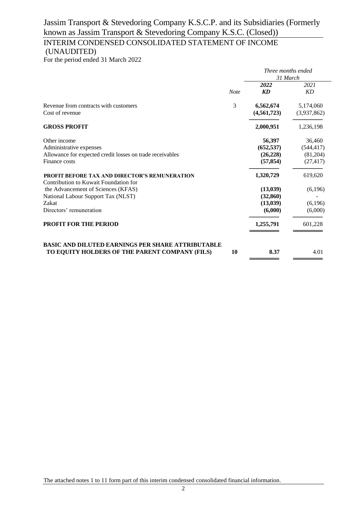### INTERIM CONDENSED CONSOLIDATED STATEMENT OF INCOME (UNAUDITED)

For the period ended 31 March 2022

|                                                           |             | Three months ended     |             |  |
|-----------------------------------------------------------|-------------|------------------------|-------------|--|
|                                                           |             |                        | 31 March    |  |
|                                                           |             | 2022                   | 2021        |  |
|                                                           | <b>Note</b> | $\mathbf{K}\mathbf{D}$ | KD          |  |
| Revenue from contracts with customers                     | 3           | 6,562,674              | 5,174,060   |  |
| Cost of revenue                                           |             | (4, 561, 723)          | (3,937,862) |  |
| <b>GROSS PROFIT</b>                                       |             | 2,000,951              | 1,236,198   |  |
| Other income                                              |             | 56,397                 | 36,460      |  |
| Administrative expenses                                   |             | (652, 537)             | (544, 417)  |  |
| Allowance for expected credit losses on trade receivables |             | (26, 228)              | (81,204)    |  |
| Finance costs                                             |             | (57, 854)              | (27, 417)   |  |
| <b>PROFIT BEFORE TAX AND DIRECTOR'S REMUNERATION</b>      |             | 1,320,729              | 619,620     |  |
| Contribution to Kuwait Foundation for                     |             |                        |             |  |
| the Advancement of Sciences (KFAS)                        |             | (13,039)               | (6,196)     |  |
| National Labour Support Tax (NLST)                        |             | (32, 860)              |             |  |
| Zakat                                                     |             | (13,039)               | (6,196)     |  |
| Directors' remuneration                                   |             | (6,000)                | (6,000)     |  |
| <b>PROFIT FOR THE PERIOD</b>                              |             | 1,255,791              | 601,228     |  |
| <b>BASIC AND DILUTED EARNINGS PER SHARE ATTRIBUTABLE</b>  |             |                        |             |  |
| TO EQUITY HOLDERS OF THE PARENT COMPANY (FILS)            | 10          | 8.37                   | 4.01        |  |
|                                                           |             |                        |             |  |

The attached notes 1 to 11 form part of this interim condensed consolidated financial information.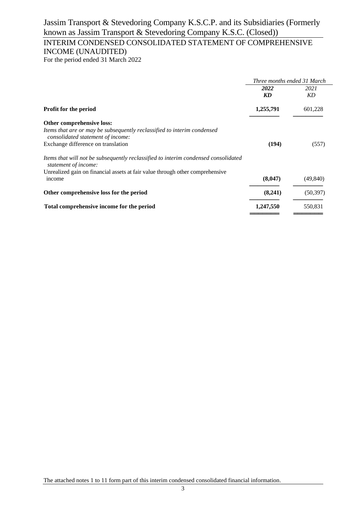# INTERIM CONDENSED CONSOLIDATED STATEMENT OF COMPREHENSIVE INCOME (UNAUDITED)

For the period ended 31 March 2022

|                                                                                                              | Three months ended 31 March |           |
|--------------------------------------------------------------------------------------------------------------|-----------------------------|-----------|
|                                                                                                              | 2022                        | 2021      |
|                                                                                                              | KD                          | KD.       |
| Profit for the period                                                                                        | 1,255,791                   | 601,228   |
| Other comprehensive loss:                                                                                    |                             |           |
| Items that are or may be subsequently reclassified to interim condensed<br>consolidated statement of income: |                             |           |
| Exchange difference on translation                                                                           | (194)                       | (557)     |
| Items that will not be subsequently reclassified to interim condensed consolidated<br>statement of income:   |                             |           |
| Unrealized gain on financial assets at fair value through other comprehensive                                |                             |           |
| income                                                                                                       | (8,047)                     | (49, 840) |
| Other comprehensive loss for the period                                                                      | (8,241)                     | (50, 397) |
| Total comprehensive income for the period                                                                    | 1,247,550                   | 550,831   |
|                                                                                                              |                             |           |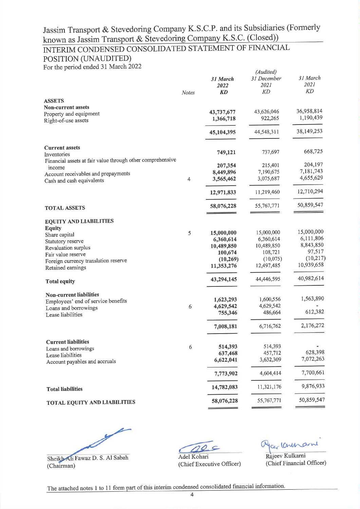# INTERIM CONDENSED CONSOLIDATED STATEMENT OF FINANCIAL

# POSITION (UNAUDITED)

For the period ended 31 March 2022

| of the period end<br><b>ASSETS</b>                                        | Notes          | 31 March<br>2022<br><b>KD</b> | (Audited)<br>31 December<br>2021<br>KD | 31 March<br>2021<br>KD  |
|---------------------------------------------------------------------------|----------------|-------------------------------|----------------------------------------|-------------------------|
| <b>Non-current assets</b>                                                 |                |                               |                                        |                         |
| Property and equipment<br>Right-of-use assets                             |                | 43,737,677<br>1,366,718       | 43,626,046<br>922,265                  | 36,958,814<br>1,190,439 |
|                                                                           |                | 45,104,395                    | 44,548,311                             | 38,149,253              |
| <b>Current assets</b>                                                     |                | 749,121                       | 737,697                                | 668,725                 |
| Inventories<br>Financial assets at fair value through other comprehensive |                |                               |                                        |                         |
| income                                                                    |                | 207,354                       | 215,401                                | 204,197                 |
| Account receivables and prepayments                                       |                | 8,449,896                     | 7,190,675                              | 7,181,743               |
| Cash and cash equivalents                                                 | $\overline{4}$ | 3,565,462                     | 3,075,687                              | 4,655,629               |
|                                                                           |                | 12,971,833                    | 11,219,460                             | 12,710,294              |
| <b>TOTAL ASSETS</b>                                                       |                | 58,076,228                    | 55,767,771                             | 50,859,547              |
| <b>EQUITY AND LIABILITIES</b>                                             |                |                               |                                        |                         |
| <b>Equity</b>                                                             |                |                               |                                        |                         |
| Share capital                                                             | 5              | 15,000,000                    | 15,000,000                             | 15,000,000              |
| Statutory reserve                                                         |                | 6,360,614                     | 6,360,614                              | 6,111,806               |
| Revaluation surplus                                                       |                | 10,489,850                    | 10,489,850                             | 8,843,850               |
| Fair value reserve                                                        |                | 100,674                       | 108,721                                | 97,517<br>(10,217)      |
| Foreign currency translation reserve<br>Retained earnings                 |                | (10, 269)<br>11,353,276       | (10,075)<br>12,497,485                 | 10,939,658              |
| <b>Total equity</b>                                                       |                | 43,294,145                    | 44,446,595                             | 40,982,614              |
| <b>Non-current liabilities</b>                                            |                |                               |                                        |                         |
| Employees' end of service benefits                                        |                | 1,623,293                     | 1,600,556                              | 1,563,890               |
| Loans and borrowings                                                      | 6              | 4,629,542                     | 4,629,542                              |                         |
| Lease liabilities                                                         |                | 755,346                       | 486,664                                | 612,382                 |
|                                                                           |                | 7,008,181                     | 6,716,762                              | 2,176,272               |
| <b>Current liabilities</b>                                                |                |                               |                                        |                         |
| Loans and borrowings                                                      | 6              | 514,393                       | 514,393                                |                         |
| Lease liabilities                                                         |                | 637,468                       | 457,712                                | 628,398                 |
| Account payables and accruals                                             |                | 6,622,041                     | 3,632,309                              | 7,072,263               |
|                                                                           |                | 7,773,902                     | 4,604,414                              | 7,700,661               |
| <b>Total liabilities</b>                                                  |                | 14,782,083                    | 11,321,176                             | 9,876,933               |
| TOTAL EQUITY AND LIABILITIES                                              |                | 58,076,228                    | 55,767,771                             | 50,859,547              |
|                                                                           |                |                               |                                        |                         |

Sheikh Ali Fawaz D. S. Al Sabah (Chairman)

20

Cer Cont

Rajeev Kulkarni (Chief Financial Officer)

corne

Adel Kohari (Chief Executive Officer)

The attached notes 1 to 11 form part of this interim condensed consolidated financial information.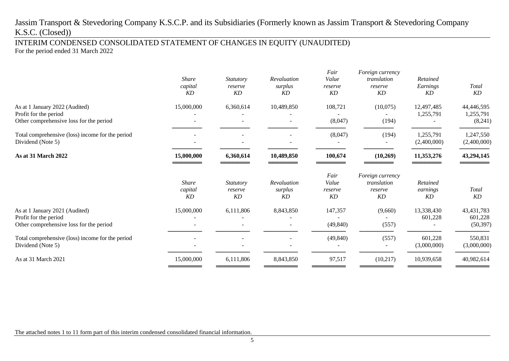INTERIM CONDENSED CONSOLIDATED STATEMENT OF CHANGES IN EQUITY (UNAUDITED) For the period ended 31 March 2022

|                                                                                                    | <b>Share</b><br>capital<br>KD | <i>Statutory</i><br>reserve<br>KD | Revaluation<br>surplus<br>KD | Fair<br>Value<br>reserve<br>KD | Foreign currency<br>translation<br>reserve<br>KD | Retained<br>Earnings<br>KD | <b>Total</b><br>KD                   |
|----------------------------------------------------------------------------------------------------|-------------------------------|-----------------------------------|------------------------------|--------------------------------|--------------------------------------------------|----------------------------|--------------------------------------|
| As at 1 January 2022 (Audited)<br>Profit for the period<br>Other comprehensive loss for the period | 15,000,000                    | 6,360,614                         | 10,489,850                   | 108,721<br>(8,047)             | (10,075)<br>(194)                                | 12,497,485<br>1,255,791    | 44,446,595<br>1,255,791<br>(8,241)   |
| Total comprehensive (loss) income for the period<br>Dividend (Note 5)                              |                               |                                   |                              | (8,047)                        | (194)                                            | 1,255,791<br>(2,400,000)   | 1,247,550<br>(2,400,000)             |
| <b>As at 31 March 2022</b>                                                                         | 15,000,000                    | 6,360,614                         | 10,489,850                   | 100,674                        | (10,269)                                         | 11,353,276                 | 43,294,145                           |
|                                                                                                    | <b>Share</b><br>capital<br>KD | Statutory<br>reserve<br>KD        | Revaluation<br>surplus<br>KD | Fair<br>Value<br>reserve<br>KD | Foreign currency<br>translation<br>reserve<br>KD | Retained<br>earnings<br>KD | Total<br>KD                          |
| As at 1 January 2021 (Audited)<br>Profit for the period<br>Other comprehensive loss for the period | 15,000,000                    | 6,111,806                         | 8,843,850                    | 147,357<br>(49, 840)           | (9,660)<br>(557)                                 | 13,338,430<br>601,228      | 43, 431, 783<br>601,228<br>(50, 397) |
| Total comprehensive (loss) income for the period<br>Dividend (Note 5)                              |                               |                                   |                              | (49, 840)                      | (557)                                            | 601,228<br>(3,000,000)     | 550,831<br>(3,000,000)               |
| As at 31 March 2021                                                                                | 15,000,000                    | 6,111,806                         | 8,843,850                    | 97,517                         | (10,217)                                         | 10,939,658                 | 40,982,614                           |

The attached notes 1 to 11 form part of this interim condensed consolidated financial information.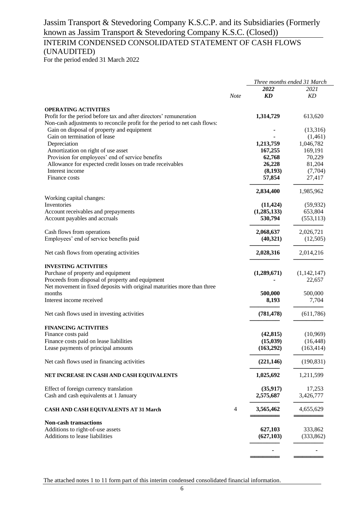# INTERIM CONDENSED CONSOLIDATED STATEMENT OF CASH FLOWS (UNAUDITED)

For the period ended 31 March 2022

|                                                                            |             |             | Three months ended 31 March |
|----------------------------------------------------------------------------|-------------|-------------|-----------------------------|
|                                                                            |             | 2022        | 2021                        |
|                                                                            | <b>Note</b> | KD          | KD                          |
|                                                                            |             |             |                             |
| <b>OPERATING ACTIVITIES</b>                                                |             |             |                             |
| Profit for the period before tax and after directors' remuneration         |             | 1,314,729   | 613,620                     |
| Non-cash adjustments to reconcile profit for the period to net cash flows: |             |             |                             |
| Gain on disposal of property and equipment                                 |             |             | (13,316)                    |
| Gain on termination of lease                                               |             |             | (1,461)                     |
| Depreciation                                                               |             | 1,213,759   | 1,046,782                   |
| Amortization on right of use asset                                         |             | 167,255     | 169,191                     |
| Provision for employees' end of service benefits                           |             | 62,768      | 70,229                      |
| Allowance for expected credit losses on trade receivables                  |             | 26,228      | 81,204                      |
| Interest income                                                            |             | (8,193)     | (7,704)                     |
| Finance costs                                                              |             | 57,854      | 27,417                      |
|                                                                            |             | 2,834,400   | 1,985,962                   |
| Working capital changes:                                                   |             |             |                             |
| Inventories                                                                |             | (11, 424)   | (59, 932)                   |
| Account receivables and prepayments                                        |             | (1,285,133) | 653,804                     |
| Account payables and accruals                                              |             | 530,794     | (553, 113)                  |
| Cash flows from operations                                                 |             | 2,068,637   | 2,026,721                   |
| Employees' end of service benefits paid                                    |             | (40,321)    | (12,505)                    |
| Net cash flows from operating activities                                   |             | 2,028,316   | 2,014,216                   |
|                                                                            |             |             |                             |
| <b>INVESTING ACTIVITIES</b>                                                |             |             |                             |
| Purchase of property and equipment                                         |             | (1,289,671) | (1,142,147)                 |
| Proceeds from disposal of property and equipment                           |             |             | 22,657                      |
| Net movement in fixed deposits with original maturities more than three    |             |             |                             |
| months                                                                     |             | 500,000     | 500,000                     |
| Interest income received                                                   |             | 8,193       | 7,704                       |
| Net cash flows used in investing activities                                |             | (781, 478)  | (611,786)                   |
|                                                                            |             |             |                             |
| <b>FINANCING ACTIVITIES</b>                                                |             | (42, 815)   |                             |
| Finance costs paid                                                         |             | (15,039)    | (10,969)                    |
| Finance costs paid on lease liabilities                                    |             |             | (16, 448)                   |
| Lease payments of principal amounts                                        |             | (163,292)   | (163, 414)                  |
| Net cash flows used in financing activities                                |             | (221, 146)  | (190, 831)                  |
| NET INCREASE IN CASH AND CASH EQUIVALENTS                                  |             | 1,025,692   | 1,211,599                   |
| Effect of foreign currency translation                                     |             | (35, 917)   | 17,253                      |
| Cash and cash equivalents at 1 January                                     |             | 2,575,687   | 3,426,777                   |
|                                                                            |             |             |                             |
| <b>CASH AND CASH EQUIVALENTS AT 31 March</b>                               | 4           | 3,565,462   | 4,655,629                   |
| <b>Non-cash transactions</b>                                               |             |             |                             |
| Additions to right-of-use assets                                           |             | 627,103     | 333,862                     |
| Additions to lease liabilities                                             |             | (627, 103)  | (333, 862)                  |
|                                                                            |             |             |                             |
|                                                                            |             |             |                             |
|                                                                            |             |             |                             |

The attached notes 1 to 11 form part of this interim condensed consolidated financial information.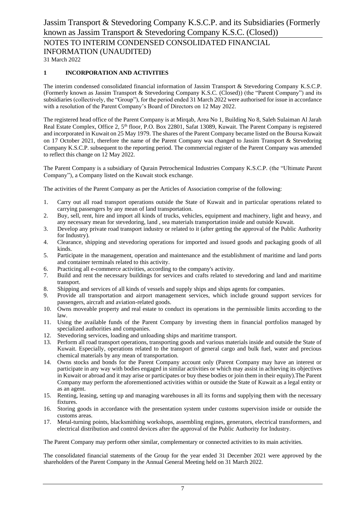NOTES TO INTERIM CONDENSED CONSOLIDATED FINANCIAL INFORMATION (UNAUDITED)

31 March 2022

#### **1 INCORPORATION AND ACTIVITIES**

The interim condensed consolidated financial information of Jassim Transport & Stevedoring Company K.S.C.P. (Formerly known as Jassim Transport & Stevedoring Company K.S.C. (Closed)) (the "Parent Company") and its subsidiaries (collectively, the "Group"), for the period ended 31 March 2022 were authorised for issue in accordance with a resolution of the Parent Company's Board of Directors on 12 May 2022.

The registered head office of the Parent Company is at Mirqab, Area No 1, Building No 8, Saleh Sulaiman Al Jarah Real Estate Complex, Office 2, 5<sup>th</sup> floor, P.O. Box 22801, Safat 13089, Kuwait. The Parent Company is registered and incorporated in Kuwait on 25 May 1979. The shares of the Parent Company became listed on the Boursa Kuwait on 17 October 2021, therefore the name of the Parent Company was changed to Jassim Transport & Stevedoring Company K.S.C.P. subsequent to the reporting period. The commercial register of the Parent Company was amended to reflect this change on 12 May 2022.

The Parent Company is a subsidiary of Qurain Petrochemical Industries Company K.S.C.P. (the "Ultimate Parent Company"), a Company listed on the Kuwait stock exchange.

The activities of the Parent Company as per the Articles of Association comprise of the following:

- 1. Carry out all road transport operations outside the State of Kuwait and in particular operations related to carrying passengers by any mean of land transportation.
- 2. Buy, sell, rent, hire and import all kinds of trucks, vehicles, equipment and machinery, light and heavy, and any necessary mean for stevedoring, land , sea materials transportation inside and outside Kuwait.
- 3. Develop any private road transport industry or related to it (after getting the approval of the Public Authority for Industry).
- 4. Clearance, shipping and stevedoring operations for imported and issued goods and packaging goods of all kinds.
- 5. Participate in the management, operation and maintenance and the establishment of maritime and land ports and container terminals related to this activity.
- 6. Practicing all e-commerce activities, according to the company's activity.
- 7. Build and rent the necessary buildings for services and crafts related to stevedoring and land and maritime transport.
- 8. Shipping and services of all kinds of vessels and supply ships and ships agents for companies.
- 9. Provide all transportation and airport management services, which include ground support services for passengers, aircraft and aviation-related goods.
- 10. Owns moveable property and real estate to conduct its operations in the permissible limits according to the law.
- 11. Using the available funds of the Parent Company by investing them in financial portfolios managed by specialized authorities and companies.
- 12. Stevedoring services, loading and unloading ships and maritime transport.
- 13. Perform all road transport operations, transporting goods and various materials inside and outside the State of Kuwait. Especially, operations related to the transport of general cargo and bulk fuel, water and precious chemical materials by any mean of transportation.
- 14. Owns stocks and bonds for the Parent Company account only (Parent Company may have an interest or participate in any way with bodies engaged in similar activities or which may assist in achieving its objectives in Kuwait or abroad and it may arise or participates or buy these bodies or join them in their equity).The Parent Company may perform the aforementioned activities within or outside the State of Kuwait as a legal entity or as an agent.
- 15. Renting, leasing, setting up and managing warehouses in all its forms and supplying them with the necessary fixtures.
- 16. Storing goods in accordance with the presentation system under customs supervision inside or outside the customs areas.
- 17. Metal-turning points, blacksmithing workshops, assembling engines, generators, electrical transformers, and electrical distribution and control devices after the approval of the Public Authority for Industry.

The Parent Company may perform other similar, complementary or connected activities to its main activities.

The consolidated financial statements of the Group for the year ended 31 December 2021 were approved by the shareholders of the Parent Company in the Annual General Meeting held on 31 March 2022.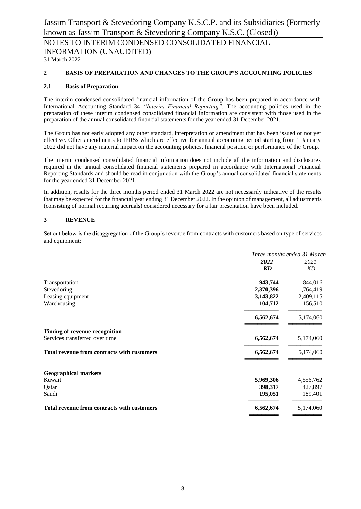NOTES TO INTERIM CONDENSED CONSOLIDATED FINANCIAL INFORMATION (UNAUDITED)

31 March 2022

#### **2 BASIS OF PREPARATION AND CHANGES TO THE GROUP'S ACCOUNTING POLICIES**

#### **2.1 Basis of Preparation**

The interim condensed consolidated financial information of the Group has been prepared in accordance with International Accounting Standard 34 *"Interim Financial Reporting"*. The accounting policies used in the preparation of these interim condensed consolidated financial information are consistent with those used in the preparation of the annual consolidated financial statements for the year ended 31 December 2021.

The Group has not early adopted any other standard, interpretation or amendment that has been issued or not yet effective. Other amendments to IFRSs which are effective for annual accounting period starting from 1 January 2022 did not have any material impact on the accounting policies, financial position or performance of the Group.

The interim condensed consolidated financial information does not include all the information and disclosures required in the annual consolidated financial statements prepared in accordance with International Financial Reporting Standards and should be read in conjunction with the Group's annual consolidated financial statements for the year ended 31 December 2021.

In addition, results for the three months period ended 31 March 2022 are not necessarily indicative of the results that may be expected for the financial year ending 31 December 2022. In the opinion of management, all adjustments (consisting of normal recurring accruals) considered necessary for a fair presentation have been included.

#### **3 REVENUE**

Set out below is the disaggregation of the Group's revenue from contracts with customers based on type of services and equipment:

|                                                    |           | Three months ended 31 March |
|----------------------------------------------------|-----------|-----------------------------|
|                                                    | 2022      | 2021                        |
|                                                    | KD        | KD                          |
| Transportation                                     | 943,744   | 844,016                     |
| Stevedoring                                        | 2,370,396 | 1,764,419                   |
| Leasing equipment                                  | 3,143,822 | 2,409,115                   |
| Warehousing                                        | 104,712   | 156,510                     |
|                                                    | 6,562,674 | 5,174,060                   |
| Timing of revenue recognition                      |           |                             |
| Services transferred over time                     | 6,562,674 | 5,174,060                   |
| <b>Total revenue from contracts with customers</b> | 6,562,674 | 5,174,060                   |
| <b>Geographical markets</b>                        |           |                             |
| Kuwait                                             | 5,969,306 | 4,556,762                   |
| Qatar                                              | 398,317   | 427,897                     |
| Saudi                                              | 195,051   | 189,401                     |
| Total revenue from contracts with customers        | 6,562,674 | 5,174,060                   |
|                                                    |           |                             |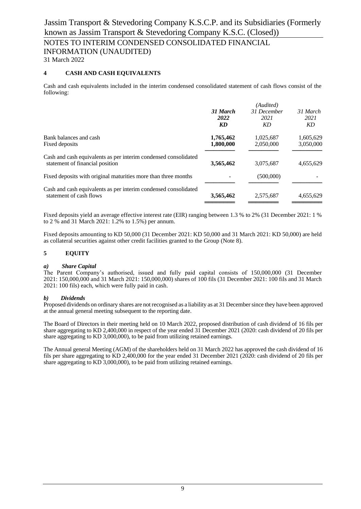### NOTES TO INTERIM CONDENSED CONSOLIDATED FINANCIAL INFORMATION (UNAUDITED)

31 March 2022

#### **4 CASH AND CASH EQUIVALENTS**

Cash and cash equivalents included in the interim condensed consolidated statement of cash flows consist of the following:

|                                                                                                    | (Audited)              |                           |                        |
|----------------------------------------------------------------------------------------------------|------------------------|---------------------------|------------------------|
|                                                                                                    | 31 March<br>2022<br>KD | 31 December<br>2021<br>KD | 31 March<br>2021<br>KD |
|                                                                                                    |                        |                           |                        |
| Bank balances and cash                                                                             | 1,765,462              | 1,025,687                 | 1,605,629              |
| Fixed deposits                                                                                     | 1,800,000              | 2,050,000                 | 3,050,000              |
| Cash and cash equivalents as per interim condensed consolidated<br>statement of financial position | 3,565,462              | 3,075,687                 | 4,655,629              |
| Fixed deposits with original maturities more than three months                                     |                        | (500,000)                 |                        |
| Cash and cash equivalents as per interim condensed consolidated<br>statement of cash flows         | 3,565,462              | 2,575,687                 | 4,655,629              |
|                                                                                                    |                        |                           |                        |

Fixed deposits yield an average effective interest rate (EIR) ranging between 1.3 % to 2% (31 December 2021: 1 % to 2 % and 31 March 2021: 1.2% to 1.5%) per annum.

Fixed deposits amounting to KD 50,000 (31 December 2021: KD 50,000 and 31 March 2021: KD 50,000) are held as collateral securities against other credit facilities granted to the Group (Note 8).

#### **5 EQUITY**

#### *a) Share Capital*

The Parent Company's authorised, issued and fully paid capital consists of 150,000,000 (31 December 2021: 150,000,000 and 31 March 2021: 150,000,000) shares of 100 fils (31 December 2021: 100 fils and 31 March 2021: 100 fils) each, which were fully paid in cash.

#### *b) Dividends*

Proposed dividends on ordinary shares are not recognised as a liability as at 31 December since they have been approved at the annual general meeting subsequent to the reporting date.

The Board of Directors in their meeting held on 10 March 2022, proposed distribution of cash dividend of 16 fils per share aggregating to KD 2,400,000 in respect of the year ended 31 December 2021 (2020: cash dividend of 20 fils per share aggregating to KD 3,000,000), to be paid from utilizing retained earnings.

The Annual general Meeting (AGM) of the shareholders held on 31 March 2022 has approved the cash dividend of 16 fils per share aggregating to KD 2,400,000 for the year ended 31 December 2021 (2020: cash dividend of 20 fils per share aggregating to KD 3,000,000), to be paid from utilizing retained earnings.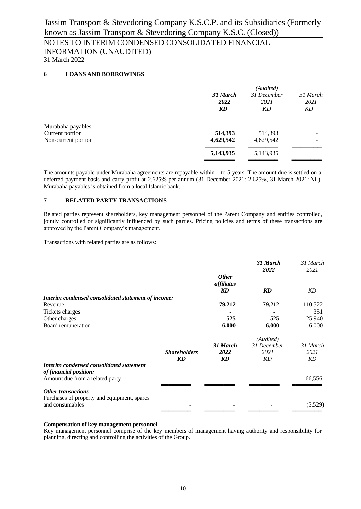# NOTES TO INTERIM CONDENSED CONSOLIDATED FINANCIAL INFORMATION (UNAUDITED)

31 March 2022

#### **6 LOANS AND BORROWINGS**

|                     |           | (Audited)   |          |
|---------------------|-----------|-------------|----------|
|                     | 31 March  | 31 December | 31 March |
|                     | 2022      | 2021        | 2021     |
|                     | KD        | KD          | KD       |
| Murabaha payables:  |           |             |          |
| Current portion     | 514,393   | 514,393     |          |
| Non-current portion | 4,629,542 | 4,629,542   |          |
|                     | 5,143,935 | 5,143,935   |          |
|                     |           |             |          |

The amounts payable under Murabaha agreements are repayable within 1 to 5 years. The amount due is settled on a deferred payment basis and carry profit at 2.625% per annum (31 December 2021: 2.625%, 31 March 2021: Nil). Murabaha payables is obtained from a local Islamic bank.

#### **7 RELATED PARTY TRANSACTIONS**

Related parties represent shareholders, key management personnel of the Parent Company and entities controlled, jointly controlled or significantly influenced by such parties. Pricing policies and terms of these transactions are approved by the Parent Company's management.

Transactions with related parties are as follows:

|                                                                    |                     |                                  | 31 March<br>2022 | 31 March<br>2021 |
|--------------------------------------------------------------------|---------------------|----------------------------------|------------------|------------------|
|                                                                    |                     | <b>Other</b><br>affiliates<br>KD | KD               | KD               |
| Interim condensed consolidated statement of income:                |                     |                                  |                  |                  |
| Revenue                                                            |                     | 79,212                           | 79,212           | 110,522          |
| Tickets charges                                                    |                     |                                  |                  | 351              |
| Other charges                                                      |                     | 525                              | 525              | 25,940           |
| Board remuneration                                                 |                     | 6,000                            | 6,000            | 6,000            |
|                                                                    |                     |                                  | (Audited)        |                  |
|                                                                    |                     | 31 March                         | 31 December      | 31 March         |
|                                                                    | <b>Shareholders</b> | 2022                             | 2021             | 2021             |
|                                                                    | KD                  | KD                               | KD               | KD               |
| Interim condensed consolidated statement<br>of financial position: |                     |                                  |                  |                  |
| Amount due from a related party                                    |                     |                                  |                  | 66,556           |
| <b>Other transactions</b>                                          |                     |                                  |                  |                  |
| Purchases of property and equipment, spares                        |                     |                                  |                  |                  |
| and consumables                                                    |                     |                                  |                  | (5,529)          |
|                                                                    |                     |                                  |                  |                  |

#### **Compensation of key management personnel**

Key management personnel comprise of the key members of management having authority and responsibility for planning, directing and controlling the activities of the Group.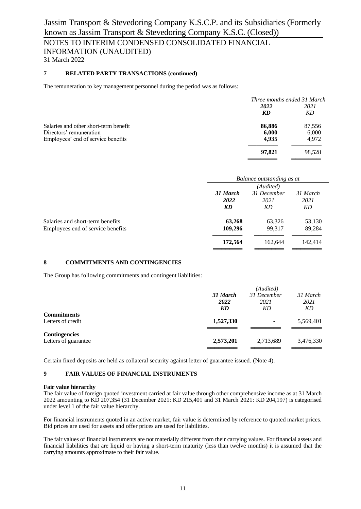### NOTES TO INTERIM CONDENSED CONSOLIDATED FINANCIAL INFORMATION (UNAUDITED)

31 March 2022

#### **7 RELATED PARTY TRANSACTIONS (continued)**

The remuneration to key management personnel during the period was as follows:

|                                       |        | Three months ended 31 March |  |  |
|---------------------------------------|--------|-----------------------------|--|--|
|                                       | 2022   | 2021                        |  |  |
|                                       | KD     | KD                          |  |  |
| Salaries and other short-term benefit | 86,886 | 87,556                      |  |  |
| Directors' remuneration               | 6,000  | 6,000                       |  |  |
| Employees' end of service benefits    | 4,935  | 4,972                       |  |  |
|                                       | 97,821 | 98.528                      |  |  |
|                                       |        |                             |  |  |

|                                   | Balance outstanding as at                                   |           |         |
|-----------------------------------|-------------------------------------------------------------|-----------|---------|
|                                   |                                                             | (Audited) |         |
|                                   | 31 December<br>31 March<br>31 March<br>2022<br>2021<br>2021 |           |         |
|                                   |                                                             |           |         |
|                                   | KD                                                          | KD        | KD      |
| Salaries and short-term benefits  | 63,268                                                      | 63,326    | 53,130  |
| Employees end of service benefits | 109,296                                                     | 99.317    | 89,284  |
|                                   | 172,564                                                     | 162,644   | 142,414 |
|                                   |                                                             |           |         |

#### **8 COMMITMENTS AND CONTINGENCIES**

The Group has following commitments and contingent liabilities:

|                      |           | (Audited)   |           |
|----------------------|-----------|-------------|-----------|
|                      | 31 March  | 31 December | 31 March  |
|                      | 2022      | 2021        | 2021      |
|                      | KD        | KD          | KD        |
| <b>Commitments</b>   |           |             |           |
| Letters of credit    | 1,527,330 | ٠           | 5,569,401 |
|                      |           |             |           |
| <b>Contingencies</b> |           |             |           |
| Letters of guarantee | 2,573,201 | 2,713,689   | 3,476,330 |
|                      |           |             |           |

Certain fixed deposits are held as collateral security against letter of guarantee issued. (Note 4).

#### **9 FAIR VALUES OF FINANCIAL INSTRUMENTS**

#### **Fair value hierarchy**

The fair value of foreign quoted investment carried at fair value through other comprehensive income as at 31 March 2022 amounting to KD 207,354 (31 December 2021: KD 215,401 and 31 March 2021: KD 204,197) is categorised under level 1 of the fair value hierarchy.

For financial instruments quoted in an active market, fair value is determined by reference to quoted market prices. Bid prices are used for assets and offer prices are used for liabilities.

The fair values of financial instruments are not materially different from their carrying values. For financial assets and financial liabilities that are liquid or having a short-term maturity (less than twelve months) it is assumed that the carrying amounts approximate to their fair value.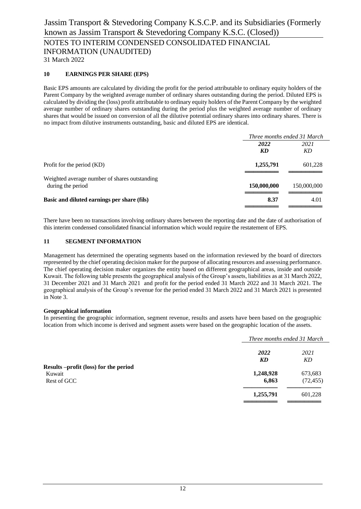### NOTES TO INTERIM CONDENSED CONSOLIDATED FINANCIAL INFORMATION (UNAUDITED)

31 March 2022

#### **10 EARNINGS PER SHARE (EPS)**

Basic EPS amounts are calculated by dividing the profit for the period attributable to ordinary equity holders of the Parent Company by the weighted average number of ordinary shares outstanding during the period. Diluted EPS is calculated by dividing the (loss) profit attributable to ordinary equity holders of the Parent Company by the weighted average number of ordinary shares outstanding during the period plus the weighted average number of ordinary shares that would be issued on conversion of all the dilutive potential ordinary shares into ordinary shares. There is no impact from dilutive instruments outstanding, basic and diluted EPS are identical.

|                                               | Three months ended 31 March |             |
|-----------------------------------------------|-----------------------------|-------------|
|                                               | 2022                        | 2021        |
|                                               | KD                          | KD          |
| Profit for the period (KD)                    | 1,255,791                   | 601,228     |
| Weighted average number of shares outstanding |                             |             |
| during the period                             | 150,000,000                 | 150,000,000 |
| Basic and diluted earnings per share (fils)   | 8.37                        | 4.01        |
|                                               |                             |             |

There have been no transactions involving ordinary shares between the reporting date and the date of authorisation of this interim condensed consolidated financial information which would require the restatement of EPS.

#### **11 SEGMENT INFORMATION**

Management has determined the operating segments based on the information reviewed by the board of directors represented by the chief operating decision maker for the purpose of allocating resources and assessing performance. The chief operating decision maker organizes the entity based on different geographical areas, inside and outside Kuwait. The following table presents the geographical analysis of the Group's assets, liabilities as at 31 March 2022, 31 December 2021 and 31 March 2021 and profit for the period ended 31 March 2022 and 31 March 2021. The geographical analysis of the Group's revenue for the period ended 31 March 2022 and 31 March 2021 is presented in Note 3.

#### **Geographical information**

In presenting the geographic information, segment revenue, results and assets have been based on the geographic location from which income is derived and segment assets were based on the geographic location of the assets.

|                                       |           | Three months ended 31 March |  |
|---------------------------------------|-----------|-----------------------------|--|
|                                       | 2022      | 2021                        |  |
|                                       | KD        | KD                          |  |
| Results -profit (loss) for the period |           |                             |  |
| Kuwait                                | 1,248,928 | 673,683                     |  |
| Rest of GCC                           | 6,863     | (72, 455)                   |  |
|                                       | 1,255,791 | 601,228                     |  |
|                                       |           |                             |  |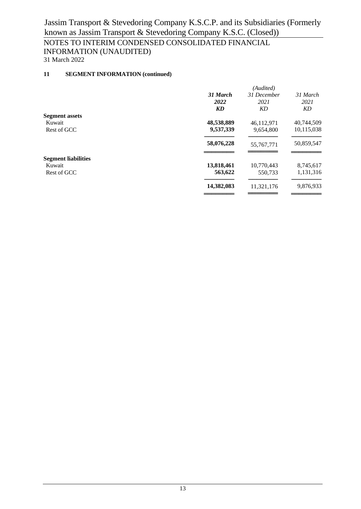# NOTES TO INTERIM CONDENSED CONSOLIDATED FINANCIAL INFORMATION (UNAUDITED)

31 March 2022

#### **11 SEGMENT INFORMATION (continued)**

|                            | (Audited)  |              |            |
|----------------------------|------------|--------------|------------|
|                            | 31 March   | 31 December  | 31 March   |
|                            | 2022       | 2021         | 2021       |
|                            | KD         | KD           | KD         |
| <b>Segment assets</b>      |            |              |            |
| Kuwait                     | 48,538,889 | 46,112,971   | 40,744,509 |
| Rest of GCC                | 9,537,339  | 9,654,800    | 10,115,038 |
|                            | 58,076,228 | 55, 767, 771 | 50,859,547 |
| <b>Segment liabilities</b> |            |              |            |
| Kuwait                     | 13,818,461 | 10,770,443   | 8,745,617  |
| Rest of GCC                | 563,622    | 550,733      | 1,131,316  |
|                            | 14,382,083 | 11,321,176   | 9,876,933  |
|                            |            |              |            |